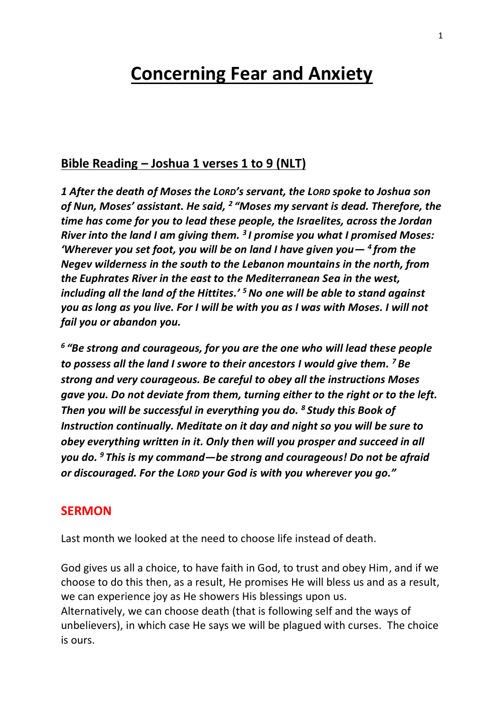# **Concerning Fear and Anxiety**

# **Bible Reading – Joshua 1 verses 1 to 9 (NLT)**

*1 After the death of Moses the LORD's servant, the LORD spoke to Joshua son*  of Nun, Moses' assistant. He said, <sup>2</sup> "Moses my servant is dead. Therefore, the *time has come for you to lead these people, the Israelites, across the Jordan River into the land I am giving them. <sup>3</sup> I promise you what I promised Moses: 'Wherever you set foot, you will be on land I have given you— <sup>4</sup> from the Negev wilderness in the south to the Lebanon mountains in the north, from the Euphrates River in the east to the Mediterranean Sea in the west, including all the land of the Hittites.' <sup>5</sup>No one will be able to stand against you as long as you live. For I will be with you as I was with Moses. I will not fail you or abandon you.*

*6 "Be strong and courageous, for you are the one who will lead these people to possess all the land I swore to their ancestors I would give them. <sup>7</sup> Be strong and very courageous. Be careful to obey all the instructions Moses gave you. Do not deviate from them, turning either to the right or to the left. Then you will be successful in everything you do. <sup>8</sup> Study this Book of Instruction continually. Meditate on it day and night so you will be sure to obey everything written in it. Only then will you prosper and succeed in all you do. <sup>9</sup> This is my command—be strong and courageous! Do not be afraid or discouraged. For the LORD your God is with you wherever you go."*

#### **SERMON**

Last month we looked at the need to choose life instead of death.

God gives us all a choice, to have faith in God, to trust and obey Him, and if we choose to do this then, as a result, He promises He will bless us and as a result, we can experience joy as He showers His blessings upon us. Alternatively, we can choose death (that is following self and the ways of unbelievers), in which case He says we will be plagued with curses. The choice is ours.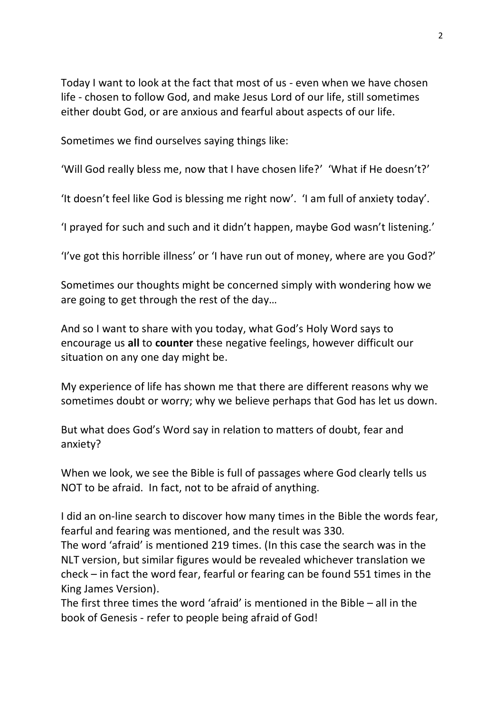Today I want to look at the fact that most of us - even when we have chosen life - chosen to follow God, and make Jesus Lord of our life, still sometimes either doubt God, or are anxious and fearful about aspects of our life.

Sometimes we find ourselves saying things like:

'Will God really bless me, now that I have chosen life?' 'What if He doesn't?'

'It doesn't feel like God is blessing me right now'. 'I am full of anxiety today'.

'I prayed for such and such and it didn't happen, maybe God wasn't listening.'

'I've got this horrible illness' or 'I have run out of money, where are you God?'

Sometimes our thoughts might be concerned simply with wondering how we are going to get through the rest of the day…

And so I want to share with you today, what God's Holy Word says to encourage us **all** to **counter** these negative feelings, however difficult our situation on any one day might be.

My experience of life has shown me that there are different reasons why we sometimes doubt or worry; why we believe perhaps that God has let us down.

But what does God's Word say in relation to matters of doubt, fear and anxiety?

When we look, we see the Bible is full of passages where God clearly tells us NOT to be afraid. In fact, not to be afraid of anything.

I did an on-line search to discover how many times in the Bible the words fear, fearful and fearing was mentioned, and the result was 330.

The word 'afraid' is mentioned 219 times. (In this case the search was in the NLT version, but similar figures would be revealed whichever translation we check – in fact the word fear, fearful or fearing can be found 551 times in the King James Version).

The first three times the word 'afraid' is mentioned in the Bible – all in the book of Genesis - refer to people being afraid of God!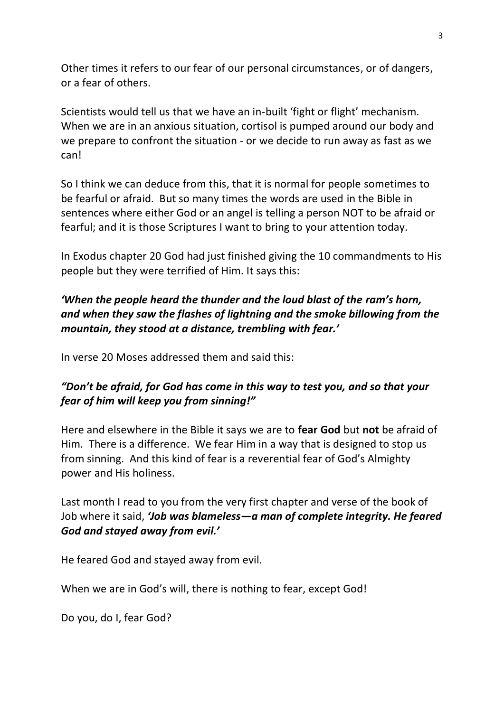Other times it refers to our fear of our personal circumstances, or of dangers, or a fear of others.

Scientists would tell us that we have an in-built 'fight or flight' mechanism. When we are in an anxious situation, cortisol is pumped around our body and we prepare to confront the situation - or we decide to run away as fast as we can!

So I think we can deduce from this, that it is normal for people sometimes to be fearful or afraid. But so many times the words are used in the Bible in sentences where either God or an angel is telling a person NOT to be afraid or fearful; and it is those Scriptures I want to bring to your attention today.

In Exodus chapter 20 God had just finished giving the 10 commandments to His people but they were terrified of Him. It says this:

# *'When the people heard the thunder and the loud blast of the ram's horn, and when they saw the flashes of lightning and the smoke billowing from the mountain, they stood at a distance, trembling with fear.'*

In verse 20 Moses addressed them and said this:

# *"Don't be afraid, for God has come in this way to test you, and so that your fear of him will keep you from sinning!"*

Here and elsewhere in the Bible it says we are to **fear God** but **not** be afraid of Him. There is a difference. We fear Him in a way that is designed to stop us from sinning. And this kind of fear is a reverential fear of God's Almighty power and His holiness.

Last month I read to you from the very first chapter and verse of the book of Job where it said, *'Job was blameless—a man of complete integrity. He feared God and stayed away from evil.'*

He feared God and stayed away from evil.

When we are in God's will, there is nothing to fear, except God!

Do you, do I, fear God?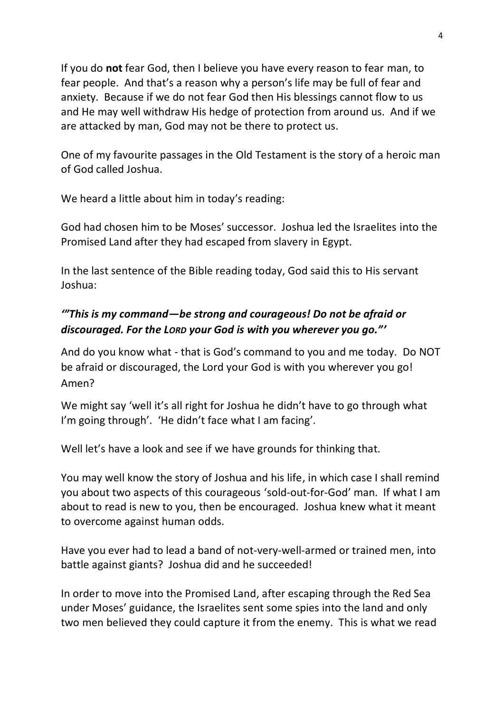If you do **not** fear God, then I believe you have every reason to fear man, to fear people. And that's a reason why a person's life may be full of fear and anxiety. Because if we do not fear God then His blessings cannot flow to us and He may well withdraw His hedge of protection from around us. And if we are attacked by man, God may not be there to protect us.

One of my favourite passages in the Old Testament is the story of a heroic man of God called Joshua.

We heard a little about him in today's reading:

God had chosen him to be Moses' successor. Joshua led the Israelites into the Promised Land after they had escaped from slavery in Egypt.

In the last sentence of the Bible reading today, God said this to His servant Joshua:

# *'"This is my command—be strong and courageous! Do not be afraid or discouraged. For the LORD your God is with you wherever you go."'*

And do you know what - that is God's command to you and me today. Do NOT be afraid or discouraged, the Lord your God is with you wherever you go! Amen?

We might say 'well it's all right for Joshua he didn't have to go through what I'm going through'. 'He didn't face what I am facing'.

Well let's have a look and see if we have grounds for thinking that.

You may well know the story of Joshua and his life, in which case I shall remind you about two aspects of this courageous 'sold-out-for-God' man. If what I am about to read is new to you, then be encouraged. Joshua knew what it meant to overcome against human odds.

Have you ever had to lead a band of not-very-well-armed or trained men, into battle against giants? Joshua did and he succeeded!

In order to move into the Promised Land, after escaping through the Red Sea under Moses' guidance, the Israelites sent some spies into the land and only two men believed they could capture it from the enemy. This is what we read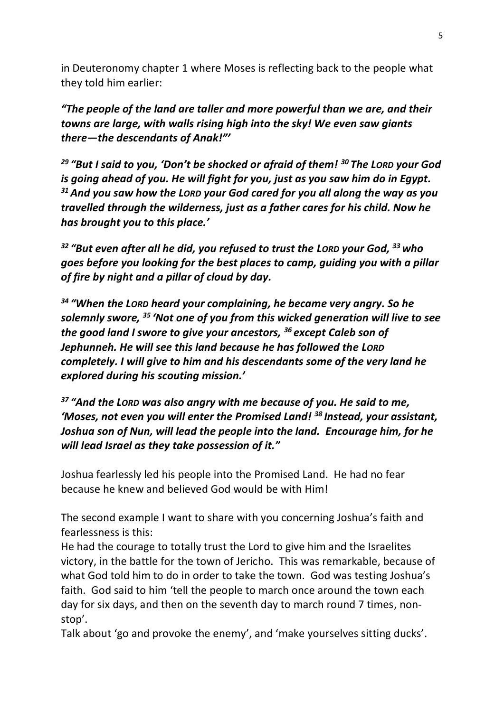in Deuteronomy chapter 1 where Moses is reflecting back to the people what they told him earlier:

*"The people of the land are taller and more powerful than we are, and their towns are large, with walls rising high into the sky! We even saw giants there—the descendants of Anak!"'*

*<sup>29</sup> "But I said to you, 'Don't be shocked or afraid of them! <sup>30</sup> The LORD your God is going ahead of you. He will fight for you, just as you saw him do in Egypt. <sup>31</sup>And you saw how the LORD your God cared for you all along the way as you travelled through the wilderness, just as a father cares for his child. Now he has brought you to this place.'*

*<sup>32</sup> "But even after all he did, you refused to trust the LORD your God, <sup>33</sup> who goes before you looking for the best places to camp, guiding you with a pillar of fire by night and a pillar of cloud by day.*

*<sup>34</sup> "When the LORD heard your complaining, he became very angry. So he solemnly swore, <sup>35</sup> 'Not one of you from this wicked generation will live to see the good land I swore to give your ancestors, <sup>36</sup> except Caleb son of Jephunneh. He will see this land because he has followed the LORD completely. I will give to him and his descendants some of the very land he explored during his scouting mission.'*

*<sup>37</sup> "And the LORD was also angry with me because of you. He said to me, 'Moses, not even you will enter the Promised Land! <sup>38</sup> Instead, your assistant, Joshua son of Nun, will lead the people into the land. Encourage him, for he will lead Israel as they take possession of it."*

Joshua fearlessly led his people into the Promised Land. He had no fear because he knew and believed God would be with Him!

The second example I want to share with you concerning Joshua's faith and fearlessness is this:

He had the courage to totally trust the Lord to give him and the Israelites victory, in the battle for the town of Jericho. This was remarkable, because of what God told him to do in order to take the town. God was testing Joshua's faith. God said to him 'tell the people to march once around the town each day for six days, and then on the seventh day to march round 7 times, nonstop'.

Talk about 'go and provoke the enemy', and 'make yourselves sitting ducks'.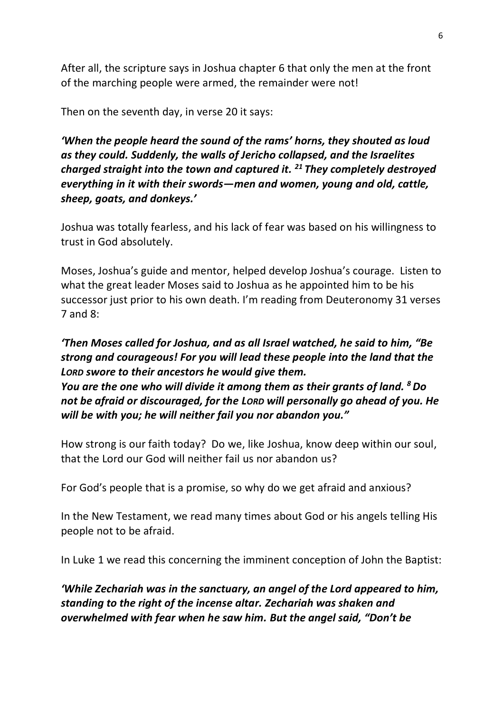After all, the scripture says in Joshua chapter 6 that only the men at the front of the marching people were armed, the remainder were not!

Then on the seventh day, in verse 20 it says:

*'When the people heard the sound of the rams' horns, they shouted as loud as they could. Suddenly, the walls of Jericho collapsed, and the Israelites charged straight into the town and captured it. <sup>21</sup> They completely destroyed everything in it with their swords—men and women, young and old, cattle, sheep, goats, and donkeys.'*

Joshua was totally fearless, and his lack of fear was based on his willingness to trust in God absolutely.

Moses, Joshua's guide and mentor, helped develop Joshua's courage. Listen to what the great leader Moses said to Joshua as he appointed him to be his successor just prior to his own death. I'm reading from Deuteronomy 31 verses 7 and  $8$ :

*'Then Moses called for Joshua, and as all Israel watched, he said to him, "Be strong and courageous! For you will lead these people into the land that the LORD swore to their ancestors he would give them. You are the one who will divide it among them as their grants of land. <sup>8</sup>Do not be afraid or discouraged, for the LORD will personally go ahead of you. He will be with you; he will neither fail you nor abandon you."*

How strong is our faith today? Do we, like Joshua, know deep within our soul, that the Lord our God will neither fail us nor abandon us?

For God's people that is a promise, so why do we get afraid and anxious?

In the New Testament, we read many times about God or his angels telling His people not to be afraid.

In Luke 1 we read this concerning the imminent conception of John the Baptist:

*'While Zechariah was in the sanctuary, an angel of the Lord appeared to him, standing to the right of the incense altar. Zechariah was shaken and overwhelmed with fear when he saw him. But the angel said, "Don't be*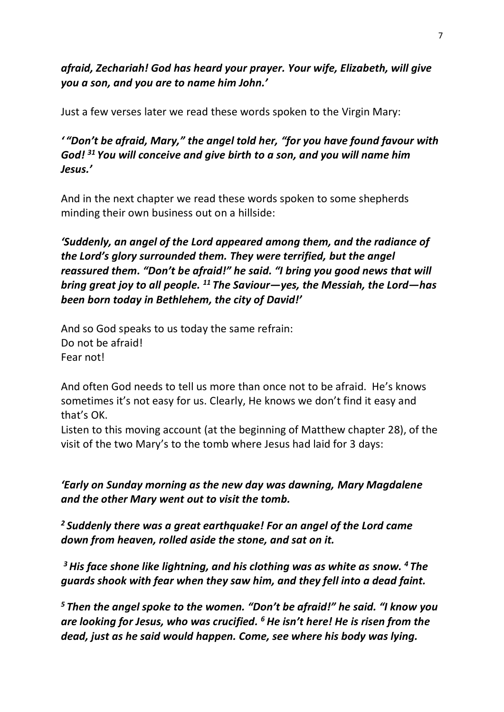*afraid, Zechariah! God has heard your prayer. Your wife, Elizabeth, will give you a son, and you are to name him John.'*

Just a few verses later we read these words spoken to the Virgin Mary:

#### *' "Don't be afraid, Mary," the angel told her, "for you have found favour with God! <sup>31</sup> You will conceive and give birth to a son, and you will name him Jesus.'*

And in the next chapter we read these words spoken to some shepherds minding their own business out on a hillside:

*'Suddenly, an angel of the Lord appeared among them, and the radiance of the Lord's glory surrounded them. They were terrified, but the angel reassured them. "Don't be afraid!" he said. "I bring you good news that will bring great joy to all people. <sup>11</sup> The Saviour—yes, the Messiah, the Lord—has been born today in Bethlehem, the city of David!'*

And so God speaks to us today the same refrain: Do not be afraid! Fear not!

And often God needs to tell us more than once not to be afraid. He's knows sometimes it's not easy for us. Clearly, He knows we don't find it easy and that's OK.

Listen to this moving account (at the beginning of Matthew chapter 28), of the visit of the two Mary's to the tomb where Jesus had laid for 3 days:

*'Early on Sunday morning as the new day was dawning, Mary Magdalene and the other Mary went out to visit the tomb.*

*<sup>2</sup> Suddenly there was a great earthquake! For an angel of the Lord came down from heaven, rolled aside the stone, and sat on it.*

*<sup>3</sup>His face shone like lightning, and his clothing was as white as snow. <sup>4</sup> The guards shook with fear when they saw him, and they fell into a dead faint.*

*<sup>5</sup> Then the angel spoke to the women. "Don't be afraid!" he said. "I know you are looking for Jesus, who was crucified. <sup>6</sup> He isn't here! He is risen from the dead, just as he said would happen. Come, see where his body was lying.*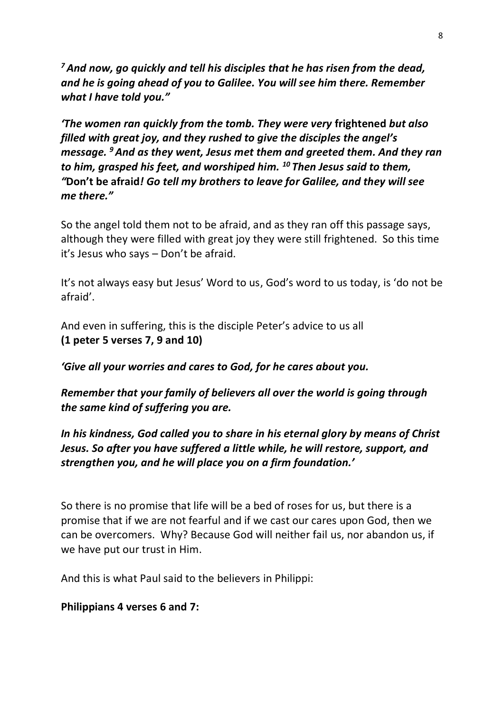*<sup>7</sup>And now, go quickly and tell his disciples that he has risen from the dead, and he is going ahead of you to Galilee. You will see him there. Remember what I have told you."*

*'The women ran quickly from the tomb. They were very* **frightened** *but also filled with great joy, and they rushed to give the disciples the angel's message. <sup>9</sup>And as they went, Jesus met them and greeted them. And they ran to him, grasped his feet, and worshiped him. <sup>10</sup> Then Jesus said to them, "***Don't be afraid***! Go tell my brothers to leave for Galilee, and they will see me there."*

So the angel told them not to be afraid, and as they ran off this passage says, although they were filled with great joy they were still frightened. So this time it's Jesus who says – Don't be afraid.

It's not always easy but Jesus' Word to us, God's word to us today, is 'do not be afraid'.

And even in suffering, this is the disciple Peter's advice to us all **(1 peter 5 verses 7, 9 and 10)**

*'Give all your worries and cares to God, for he cares about you.*

*Remember that your family of believers all over the world is going through the same kind of suffering you are.*

*In his kindness, God called you to share in his eternal glory by means of Christ Jesus. So after you have suffered a little while, he will restore, support, and strengthen you, and he will place you on a firm foundation.'*

So there is no promise that life will be a bed of roses for us, but there is a promise that if we are not fearful and if we cast our cares upon God, then we can be overcomers. Why? Because God will neither fail us, nor abandon us, if we have put our trust in Him.

And this is what Paul said to the believers in Philippi:

#### **Philippians 4 verses 6 and 7:**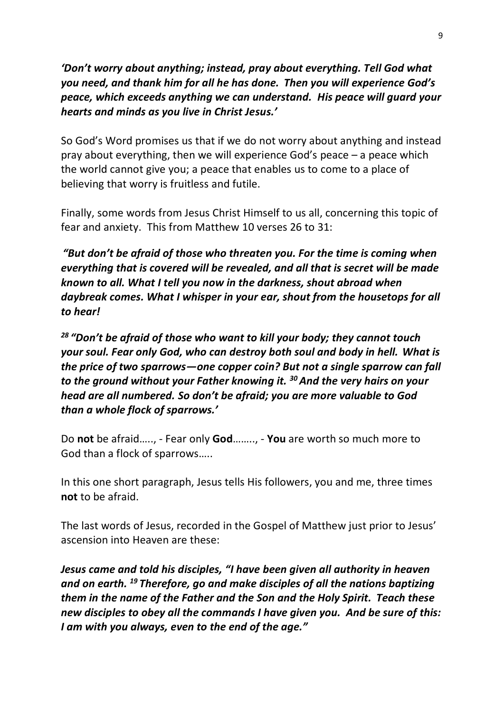*'Don't worry about anything; instead, pray about everything. Tell God what you need, and thank him for all he has done. Then you will experience God's peace, which exceeds anything we can understand. His peace will guard your hearts and minds as you live in Christ Jesus.'*

So God's Word promises us that if we do not worry about anything and instead pray about everything, then we will experience God's peace – a peace which the world cannot give you; a peace that enables us to come to a place of believing that worry is fruitless and futile.

Finally, some words from Jesus Christ Himself to us all, concerning this topic of fear and anxiety. This from Matthew 10 verses 26 to 31:

*"But don't be afraid of those who threaten you. For the time is coming when everything that is covered will be revealed, and all that is secret will be made known to all. What I tell you now in the darkness, shout abroad when daybreak comes. What I whisper in your ear, shout from the housetops for all to hear!*

*<sup>28</sup> "Don't be afraid of those who want to kill your body; they cannot touch your soul. Fear only God, who can destroy both soul and body in hell. What is the price of two sparrows—one copper coin? But not a single sparrow can fall to the ground without your Father knowing it. <sup>30</sup>And the very hairs on your head are all numbered. So don't be afraid; you are more valuable to God than a whole flock of sparrows.'*

Do **not** be afraid….., - Fear only **God**…….., - **You** are worth so much more to God than a flock of sparrows…..

In this one short paragraph, Jesus tells His followers, you and me, three times **not** to be afraid.

The last words of Jesus, recorded in the Gospel of Matthew just prior to Jesus' ascension into Heaven are these:

*Jesus came and told his disciples, "I have been given all authority in heaven and on earth. <sup>19</sup> Therefore, go and make disciples of all the nations baptizing them in the name of the Father and the Son and the Holy Spirit. Teach these new disciples to obey all the commands I have given you. And be sure of this: I am with you always, even to the end of the age."*